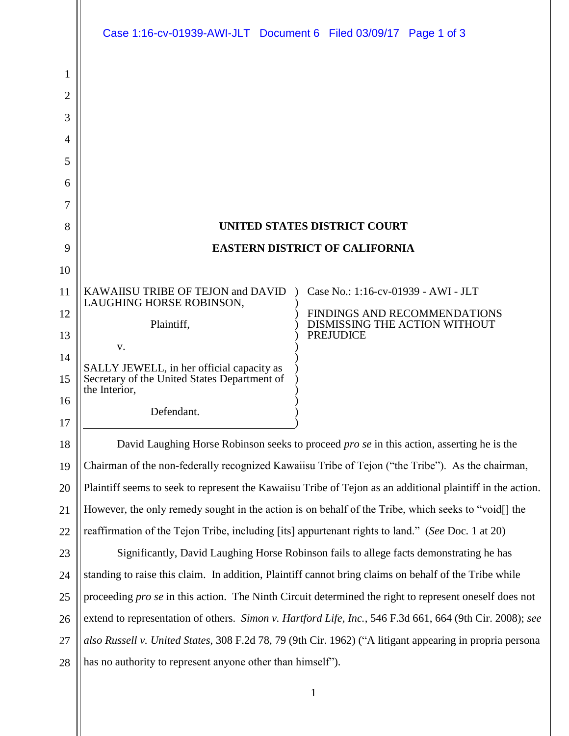|                | Case 1:16-cv-01939-AWI-JLT Document 6 Filed 03/09/17 Page 1 of 3                                              |  |  |  |
|----------------|---------------------------------------------------------------------------------------------------------------|--|--|--|
| 1              |                                                                                                               |  |  |  |
| $\overline{2}$ |                                                                                                               |  |  |  |
| 3              |                                                                                                               |  |  |  |
| 4              |                                                                                                               |  |  |  |
| 5              |                                                                                                               |  |  |  |
| 6              |                                                                                                               |  |  |  |
| 7              |                                                                                                               |  |  |  |
| 8              | <b>UNITED STATES DISTRICT COURT</b>                                                                           |  |  |  |
| 9              | <b>EASTERN DISTRICT OF CALIFORNIA</b>                                                                         |  |  |  |
| 10             |                                                                                                               |  |  |  |
| 11             | KAWAIISU TRIBE OF TEJON and DAVID<br>Case No.: 1:16-cv-01939 - AWI - JLT<br>LAUGHING HORSE ROBINSON,          |  |  |  |
| 12             | FINDINGS AND RECOMMENDATIONS<br>Plaintiff,<br>DISMISSING THE ACTION WITHOUT                                   |  |  |  |
| 13             | <b>PREJUDICE</b><br>V.                                                                                        |  |  |  |
| 14             | SALLY JEWELL, in her official capacity as                                                                     |  |  |  |
| 15             | Secretary of the United States Department of<br>the Interior,                                                 |  |  |  |
| 16             | Defendant.                                                                                                    |  |  |  |
| 17             |                                                                                                               |  |  |  |
| 18             | David Laughing Horse Robinson seeks to proceed <i>pro se</i> in this action, asserting he is the              |  |  |  |
| 19             | Chairman of the non-federally recognized Kawaiisu Tribe of Tejon ("the Tribe"). As the chairman,              |  |  |  |
| 20             | Plaintiff seems to seek to represent the Kawaiisu Tribe of Tejon as an additional plaintiff in the action.    |  |  |  |
| 21             | However, the only remedy sought in the action is on behalf of the Tribe, which seeks to "void[] the           |  |  |  |
| 22             | reaffirmation of the Tejon Tribe, including [its] appurtenant rights to land." (See Doc. 1 at 20)             |  |  |  |
| 23             | Significantly, David Laughing Horse Robinson fails to allege facts demonstrating he has                       |  |  |  |
| 24             | standing to raise this claim. In addition, Plaintiff cannot bring claims on behalf of the Tribe while         |  |  |  |
| 25             | proceeding <i>pro se</i> in this action. The Ninth Circuit determined the right to represent oneself does not |  |  |  |
| 26             | extend to representation of others. Simon v. Hartford Life, Inc., 546 F.3d 661, 664 (9th Cir. 2008); see      |  |  |  |
| 27             | also Russell v. United States, 308 F.2d 78, 79 (9th Cir. 1962) ("A litigant appearing in propria persona      |  |  |  |
| 28             | has no authority to represent anyone other than himself").                                                    |  |  |  |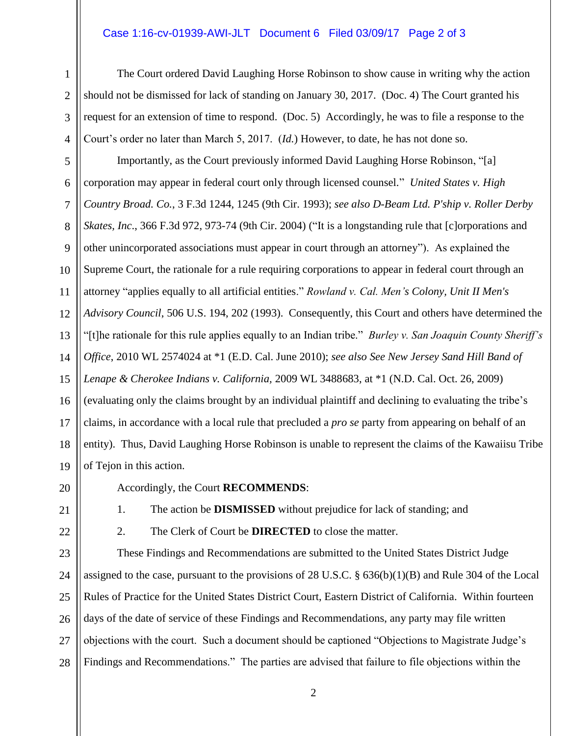## Case 1:16-cv-01939-AWI-JLT Document 6 Filed 03/09/17 Page 2 of 3

The Court ordered David Laughing Horse Robinson to show cause in writing why the action should not be dismissed for lack of standing on January 30, 2017. (Doc. 4) The Court granted his request for an extension of time to respond. (Doc. 5) Accordingly, he was to file a response to the Court's order no later than March 5, 2017. (*Id.*) However, to date, he has not done so.

5 6 7 8 9 10 11 12 13 14 15 16 17 18 19 Importantly, as the Court previously informed David Laughing Horse Robinson, "[a] corporation may appear in federal court only through licensed counsel." *United States v. High Country Broad. Co.*, 3 F.3d 1244, 1245 (9th Cir. 1993); *see also D-Beam Ltd. P'ship v. Roller Derby Skates, Inc*., 366 F.3d 972, 973-74 (9th Cir. 2004) ("It is a longstanding rule that [c]orporations and other unincorporated associations must appear in court through an attorney"). As explained the Supreme Court, the rationale for a rule requiring corporations to appear in federal court through an attorney "applies equally to all artificial entities." *Rowland v. Cal. Men's Colony, Unit II Men's Advisory Council*, 506 U.S. 194, 202 (1993). Consequently, this Court and others have determined the "[t]he rationale for this rule applies equally to an Indian tribe." *Burley v. San Joaquin County Sheriff's Office*, 2010 WL 2574024 at \*1 (E.D. Cal. June 2010); *see also See New Jersey Sand Hill Band of Lenape & Cherokee Indians v. California,* 2009 WL 3488683, at \*1 (N.D. Cal. Oct. 26, 2009) (evaluating only the claims brought by an individual plaintiff and declining to evaluating the tribe's claims, in accordance with a local rule that precluded a *pro se* party from appearing on behalf of an entity). Thus, David Laughing Horse Robinson is unable to represent the claims of the Kawaiisu Tribe of Tejon in this action.

20

1

2

3

4

Accordingly, the Court **RECOMMENDS**:

21

1. The action be **DISMISSED** without prejudice for lack of standing; and

22

2. The Clerk of Court be **DIRECTED** to close the matter.

23 24 25 26 27 28 These Findings and Recommendations are submitted to the United States District Judge assigned to the case, pursuant to the provisions of 28 U.S.C. § 636(b)(1)(B) and Rule 304 of the Local Rules of Practice for the United States District Court, Eastern District of California. Within fourteen days of the date of service of these Findings and Recommendations, any party may file written objections with the court. Such a document should be captioned "Objections to Magistrate Judge's Findings and Recommendations." The parties are advised that failure to file objections within the

2